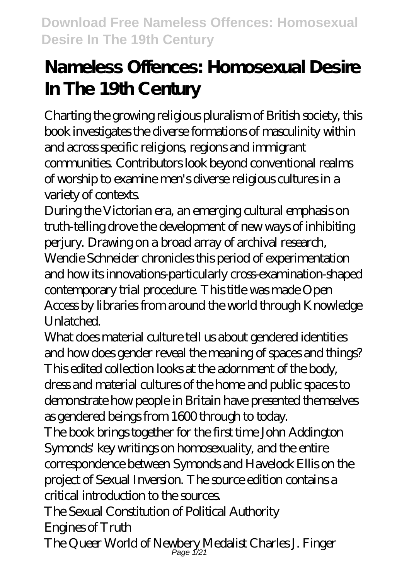# **Nameless Offences: Homosexual Desire In The 19th Century**

Charting the growing religious pluralism of British society, this book investigates the diverse formations of masculinity within and across specific religions, regions and immigrant communities. Contributors look beyond conventional realms of worship to examine men's diverse religious cultures in a variety of contexts.

During the Victorian era, an emerging cultural emphasis on truth-telling drove the development of new ways of inhibiting perjury. Drawing on a broad array of archival research, Wendie Schneider chronicles this period of experimentation and how its innovations-particularly cross-examination-shaped contemporary trial procedure. This title was made Open Access by libraries from around the world through Knowledge Unlatched.

What does material culture tell us about gendered identities and how does gender reveal the meaning of spaces and things? This edited collection looks at the adornment of the body, dress and material cultures of the home and public spaces to demonstrate how people in Britain have presented themselves as gendered beings from 1600 through to today.

The book brings together for the first time John Addington Symonds' key writings on homosexuality, and the entire correspondence between Symonds and Havelock Ellis on the project of Sexual Inversion. The source edition contains a critical introduction to the sources.

The Sexual Constitution of Political Authority

Engines of Truth

The Queer World of Newbery Medalist Charles J. Finger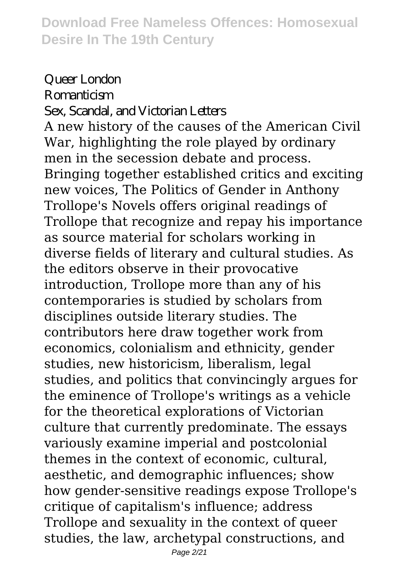# Queer London **Romanticism**

#### Sex, Scandal, and Victorian Letters

A new history of the causes of the American Civil War, highlighting the role played by ordinary men in the secession debate and process. Bringing together established critics and exciting new voices, The Politics of Gender in Anthony Trollope's Novels offers original readings of Trollope that recognize and repay his importance as source material for scholars working in diverse fields of literary and cultural studies. As the editors observe in their provocative introduction, Trollope more than any of his contemporaries is studied by scholars from disciplines outside literary studies. The contributors here draw together work from economics, colonialism and ethnicity, gender studies, new historicism, liberalism, legal studies, and politics that convincingly argues for the eminence of Trollope's writings as a vehicle for the theoretical explorations of Victorian culture that currently predominate. The essays variously examine imperial and postcolonial themes in the context of economic, cultural, aesthetic, and demographic influences; show how gender-sensitive readings expose Trollope's critique of capitalism's influence; address Trollope and sexuality in the context of queer studies, the law, archetypal constructions, and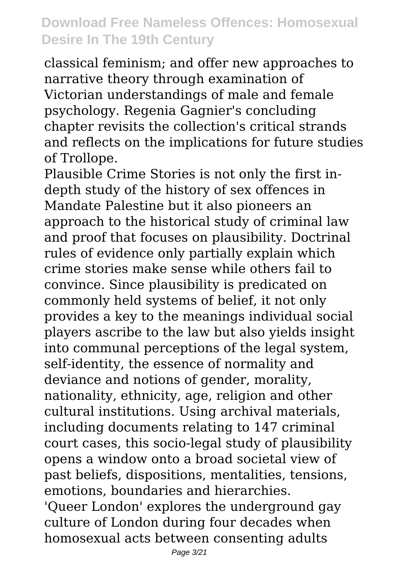classical feminism; and offer new approaches to narrative theory through examination of Victorian understandings of male and female psychology. Regenia Gagnier's concluding chapter revisits the collection's critical strands and reflects on the implications for future studies of Trollope.

Plausible Crime Stories is not only the first indepth study of the history of sex offences in Mandate Palestine but it also pioneers an approach to the historical study of criminal law and proof that focuses on plausibility. Doctrinal rules of evidence only partially explain which crime stories make sense while others fail to convince. Since plausibility is predicated on commonly held systems of belief, it not only provides a key to the meanings individual social players ascribe to the law but also yields insight into communal perceptions of the legal system, self-identity, the essence of normality and deviance and notions of gender, morality, nationality, ethnicity, age, religion and other cultural institutions. Using archival materials, including documents relating to 147 criminal court cases, this socio-legal study of plausibility opens a window onto a broad societal view of past beliefs, dispositions, mentalities, tensions, emotions, boundaries and hierarchies. 'Queer London' explores the underground gay culture of London during four decades when homosexual acts between consenting adults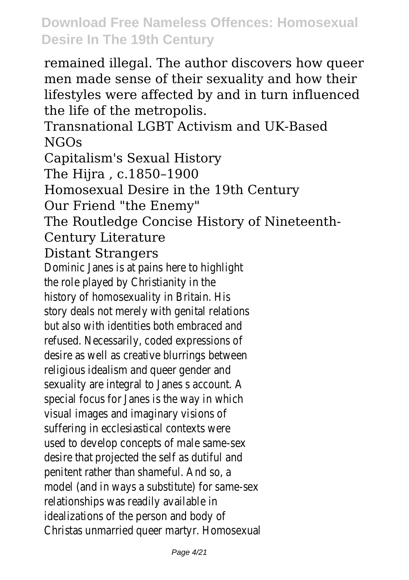remained illegal. The author discovers how queer men made sense of their sexuality and how their lifestyles were affected by and in turn influenced the life of the metropolis.

Transnational LGBT Activism and UK-Based NGOs

Capitalism's Sexual History

The Hijra , c.1850–1900

Homosexual Desire in the 19th Century

Our Friend "the Enemy"

The Routledge Concise History of Nineteenth-

## Century Literature

#### Distant Strangers

Dominic Janes is at pains here to highlight the role played by Christianity in the history of homosexuality in Britain. His story deals not merely with genital relations but also with identities both embraced and refused. Necessarily, coded expressions of desire as well as creative blurrings between religious idealism and queer gender and sexuality are integral to Janes s account. A special focus for Janes is the way in which visual images and imaginary visions of suffering in ecclesiastical contexts were used to develop concepts of male same-sex desire that projected the self as dutiful and penitent rather than shameful. And so, a model (and in ways a substitute) for same-sex relationships was readily available in idealizations of the person and body of Christas unmarried queer martyr. Homosexual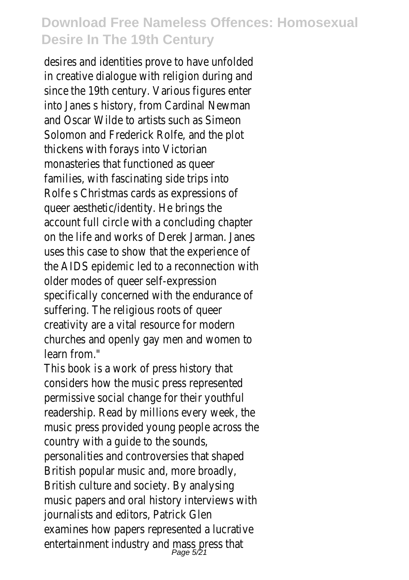desires and identities prove to have unfolded in creative dialogue with religion during and since the 19th century. Various figures enter into Janes s history, from Cardinal Newman and Oscar Wilde to artists such as Simeon Solomon and Frederick Rolfe, and the plot thickens with forays into Victorian monasteries that functioned as queer families, with fascinating side trips into Rolfe s Christmas cards as expressions of queer aesthetic/identity. He brings the account full circle with a concluding chapter on the life and works of Derek Jarman. Janes uses this case to show that the experience of the AIDS epidemic led to a reconnection with older modes of queer self-expression specifically concerned with the endurance of suffering. The religious roots of queer creativity are a vital resource for modern churches and openly gay men and women to learn from."

This book is a work of press history that considers how the music press represented permissive social change for their youthful readership. Read by millions every week, the music press provided young people across the country with a guide to the sounds, personalities and controversies that shaped British popular music and, more broadly, British culture and society. By analysing music papers and oral history interviews with journalists and editors, Patrick Glen examines how papers represented a lucrative entertainment industry and mass press that<br>Page 5/21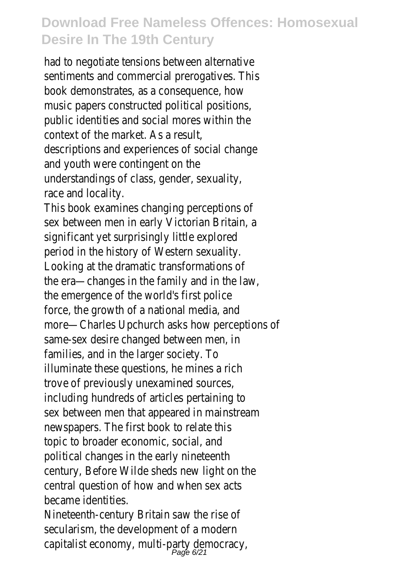had to negotiate tensions between alternative sentiments and commercial prerogatives. This book demonstrates, as a consequence, how music papers constructed political positions, public identities and social mores within the context of the market. As a result, descriptions and experiences of social change and youth were contingent on the understandings of class, gender, sexuality, race and locality.

This book examines changing perceptions of sex between men in early Victorian Britain, a significant yet surprisingly little explored period in the history of Western sexuality. Looking at the dramatic transformations of the era—changes in the family and in the law, the emergence of the world's first police force, the growth of a national media, and more—Charles Upchurch asks how perceptions of same-sex desire changed between men, in families, and in the larger society. To illuminate these questions, he mines a rich trove of previously unexamined sources, including hundreds of articles pertaining to sex between men that appeared in mainstream newspapers. The first book to relate this topic to broader economic, social, and political changes in the early nineteenth century, Before Wilde sheds new light on the central question of how and when sex acts became identities.

Nineteenth-century Britain saw the rise of secularism, the development of a modern capitalist economy, multi-party democra<br>Page 6/21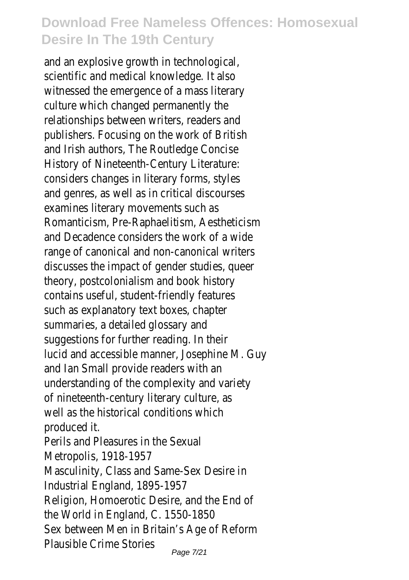and an explosive growth in technological, scientific and medical knowledge. It also witnessed the emergence of a mass literary culture which changed permanently the relationships between writers, readers and publishers. Focusing on the work of British and Irish authors, The Routledge Concise History of Nineteenth-Century Literature: considers changes in literary forms, styles and genres, as well as in critical discourses examines literary movements such as Romanticism, Pre-Raphaelitism, Aestheticism and Decadence considers the work of a wide range of canonical and non-canonical writers discusses the impact of gender studies, queer theory, postcolonialism and book history contains useful, student-friendly features such as explanatory text boxes, chapter summaries, a detailed glossary and suggestions for further reading. In their lucid and accessible manner, Josephine M. Guy and Ian Small provide readers with an understanding of the complexity and variety of nineteenth-century literary culture, as well as the historical conditions which produced it. Perils and Pleasures in the Sexual Metropolis, 1918-1957 Masculinity, Class and Same-Sex Desire in Industrial England, 1895-1957 Religion, Homoerotic Desire, and the End of the World in England, C. 1550-1850 Sex between Men in Britain's Age of Reform

Plausible Crime Stories Page 7/21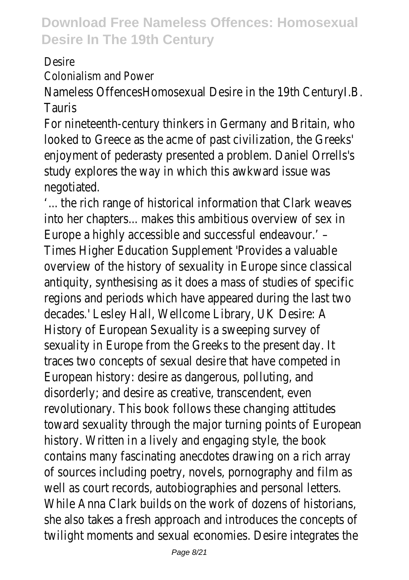Desire

Colonialism and Power

Nameless OffencesHomosexual Desire in the 19th CenturyI.B. Tauris

For nineteenth-century thinkers in Germany and Britain, who looked to Greece as the acme of past civilization, the Greeks' enjoyment of pederasty presented a problem. Daniel Orrells's study explores the way in which this awkward issue was negotiated.

'... the rich range of historical information that Clark weaves into her chapters... makes this ambitious overview of sex in Europe a highly accessible and successful endeavour.' – Times Higher Education Supplement 'Provides a valuable overview of the history of sexuality in Europe since classical antiquity, synthesising as it does a mass of studies of specific regions and periods which have appeared during the last two decades.' Lesley Hall, Wellcome Library, UK Desire: A History of European Sexuality is a sweeping survey of sexuality in Europe from the Greeks to the present day. It traces two concepts of sexual desire that have competed in European history: desire as dangerous, polluting, and disorderly; and desire as creative, transcendent, even revolutionary. This book follows these changing attitudes toward sexuality through the major turning points of European history. Written in a lively and engaging style, the book contains many fascinating anecdotes drawing on a rich array of sources including poetry, novels, pornography and film as well as court records, autobiographies and personal letters. While Anna Clark builds on the work of dozens of historians, she also takes a fresh approach and introduces the concepts of twilight moments and sexual economies. Desire integrates the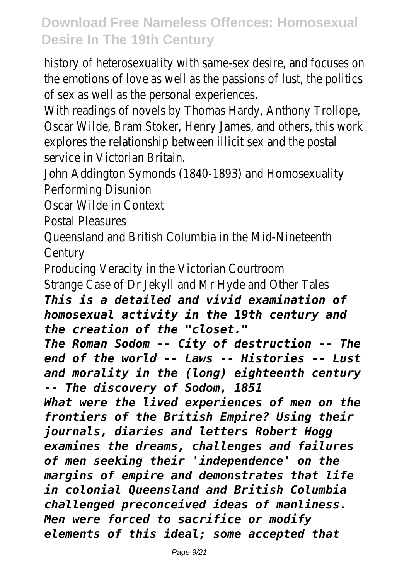history of heterosexuality with same-sex desire, and focuses on the emotions of love as well as the passions of lust, the politic of sex as well as the personal experiences.

With readings of novels by Thomas Hardy, Anthony Trollope, Oscar Wilde, Bram Stoker, Henry James, and others, this work explores the relationship between illicit sex and the postal service in Victorian Britain.

John Addington Symonds (1840-1893) and Homosexuality Performing Disunion

Oscar Wilde in Context

Postal Pleasures

Queensland and British Columbia in the Mid-Nineteenth **Century** 

Producing Veracity in the Victorian Courtroom Strange Case of Dr Jekyll and Mr Hyde and Other Tales *This is a detailed and vivid examination of homosexual activity in the 19th century and the creation of the "closet."*

*The Roman Sodom -- City of destruction -- The end of the world -- Laws -- Histories -- Lust and morality in the (long) eighteenth century -- The discovery of Sodom, 1851*

*What were the lived experiences of men on the frontiers of the British Empire? Using their journals, diaries and letters Robert Hogg examines the dreams, challenges and failures of men seeking their 'independence' on the margins of empire and demonstrates that life in colonial Queensland and British Columbia challenged preconceived ideas of manliness. Men were forced to sacrifice or modify elements of this ideal; some accepted that*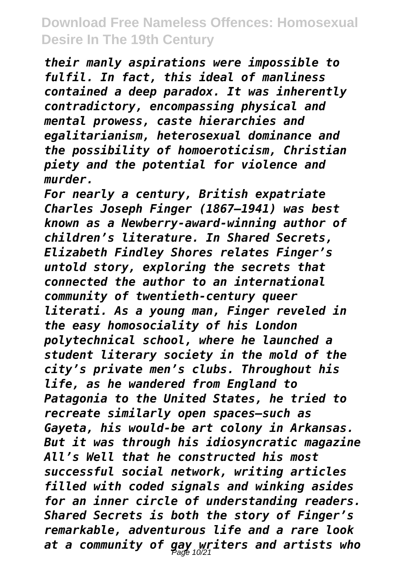*their manly aspirations were impossible to fulfil. In fact, this ideal of manliness contained a deep paradox. It was inherently contradictory, encompassing physical and mental prowess, caste hierarchies and egalitarianism, heterosexual dominance and the possibility of homoeroticism, Christian piety and the potential for violence and murder.*

*For nearly a century, British expatriate Charles Joseph Finger (1867–1941) was best known as a Newberry-award-winning author of children's literature. In Shared Secrets, Elizabeth Findley Shores relates Finger's untold story, exploring the secrets that connected the author to an international community of twentieth-century queer literati. As a young man, Finger reveled in the easy homosociality of his London polytechnical school, where he launched a student literary society in the mold of the city's private men's clubs. Throughout his life, as he wandered from England to Patagonia to the United States, he tried to recreate similarly open spaces—such as Gayeta, his would-be art colony in Arkansas. But it was through his idiosyncratic magazine All's Well that he constructed his most successful social network, writing articles filled with coded signals and winking asides for an inner circle of understanding readers. Shared Secrets is both the story of Finger's remarkable, adventurous life and a rare look at a community of gay writers and artists who* Page 10/21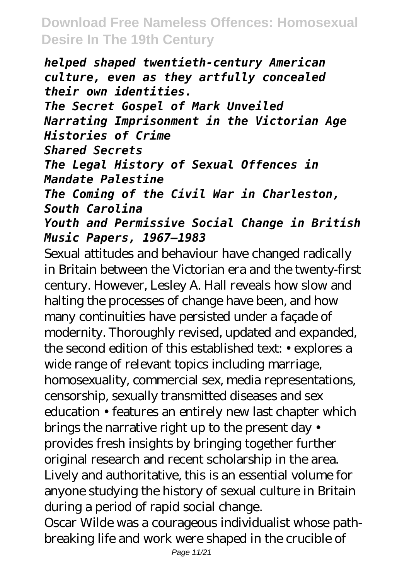*helped shaped twentieth-century American culture, even as they artfully concealed their own identities. The Secret Gospel of Mark Unveiled Narrating Imprisonment in the Victorian Age Histories of Crime Shared Secrets The Legal History of Sexual Offences in Mandate Palestine The Coming of the Civil War in Charleston, South Carolina Youth and Permissive Social Change in British Music Papers, 1967–1983*

Sexual attitudes and behaviour have changed radically in Britain between the Victorian era and the twenty-first century. However, Lesley A. Hall reveals how slow and halting the processes of change have been, and how many continuities have persisted under a façade of modernity. Thoroughly revised, updated and expanded, the second edition of this established text: • explores a wide range of relevant topics including marriage, homosexuality, commercial sex, media representations, censorship, sexually transmitted diseases and sex education • features an entirely new last chapter which brings the narrative right up to the present day • provides fresh insights by bringing together further original research and recent scholarship in the area. Lively and authoritative, this is an essential volume for anyone studying the history of sexual culture in Britain during a period of rapid social change.

Oscar Wilde was a courageous individualist whose pathbreaking life and work were shaped in the crucible of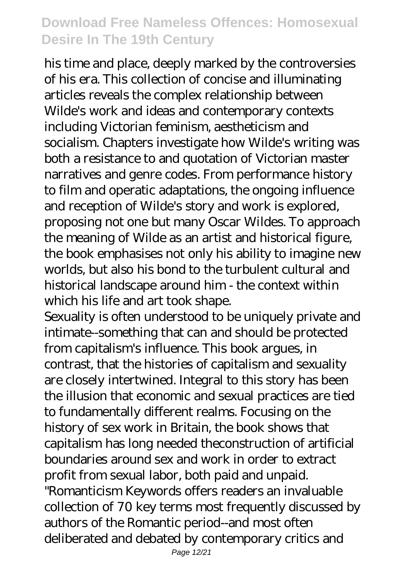his time and place, deeply marked by the controversies of his era. This collection of concise and illuminating articles reveals the complex relationship between Wilde's work and ideas and contemporary contexts including Victorian feminism, aestheticism and socialism. Chapters investigate how Wilde's writing was both a resistance to and quotation of Victorian master narratives and genre codes. From performance history to film and operatic adaptations, the ongoing influence and reception of Wilde's story and work is explored, proposing not one but many Oscar Wildes. To approach the meaning of Wilde as an artist and historical figure, the book emphasises not only his ability to imagine new worlds, but also his bond to the turbulent cultural and historical landscape around him - the context within which his life and art took shape.

Sexuality is often understood to be uniquely private and intimate--something that can and should be protected from capitalism's influence. This book argues, in contrast, that the histories of capitalism and sexuality are closely intertwined. Integral to this story has been the illusion that economic and sexual practices are tied to fundamentally different realms. Focusing on the history of sex work in Britain, the book shows that capitalism has long needed theconstruction of artificial boundaries around sex and work in order to extract profit from sexual labor, both paid and unpaid. "Romanticism Keywords offers readers an invaluable collection of 70 key terms most frequently discussed by authors of the Romantic period--and most often deliberated and debated by contemporary critics and

Page 12/21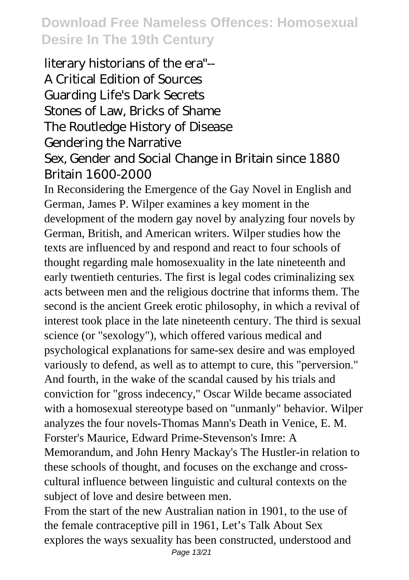literary historians of the era"-- A Critical Edition of Sources Guarding Life's Dark Secrets Stones of Law, Bricks of Shame The Routledge History of Disease Gendering the Narrative Sex, Gender and Social Change in Britain since 1880 Britain 1600-2000

In Reconsidering the Emergence of the Gay Novel in English and German, James P. Wilper examines a key moment in the development of the modern gay novel by analyzing four novels by German, British, and American writers. Wilper studies how the texts are influenced by and respond and react to four schools of thought regarding male homosexuality in the late nineteenth and early twentieth centuries. The first is legal codes criminalizing sex acts between men and the religious doctrine that informs them. The second is the ancient Greek erotic philosophy, in which a revival of interest took place in the late nineteenth century. The third is sexual science (or "sexology"), which offered various medical and psychological explanations for same-sex desire and was employed variously to defend, as well as to attempt to cure, this "perversion." And fourth, in the wake of the scandal caused by his trials and conviction for "gross indecency," Oscar Wilde became associated with a homosexual stereotype based on "unmanly" behavior. Wilper analyzes the four novels-Thomas Mann's Death in Venice, E. M. Forster's Maurice, Edward Prime-Stevenson's Imre: A Memorandum, and John Henry Mackay's The Hustler-in relation to these schools of thought, and focuses on the exchange and crosscultural influence between linguistic and cultural contexts on the subject of love and desire between men.

From the start of the new Australian nation in 1901, to the use of the female contraceptive pill in 1961, Let's Talk About Sex explores the ways sexuality has been constructed, understood and Page 13/21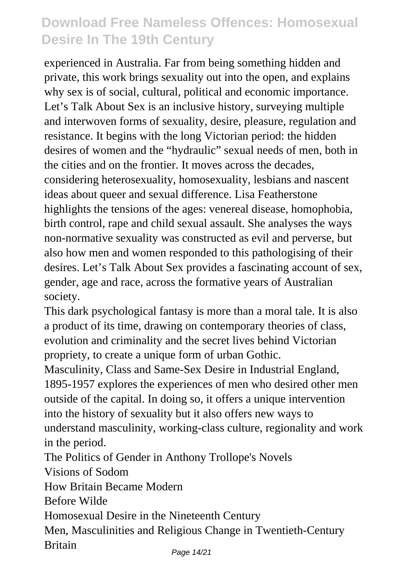experienced in Australia. Far from being something hidden and private, this work brings sexuality out into the open, and explains why sex is of social, cultural, political and economic importance. Let's Talk About Sex is an inclusive history, surveying multiple and interwoven forms of sexuality, desire, pleasure, regulation and resistance. It begins with the long Victorian period: the hidden desires of women and the "hydraulic" sexual needs of men, both in the cities and on the frontier. It moves across the decades, considering heterosexuality, homosexuality, lesbians and nascent ideas about queer and sexual difference. Lisa Featherstone highlights the tensions of the ages: venereal disease, homophobia, birth control, rape and child sexual assault. She analyses the ways non-normative sexuality was constructed as evil and perverse, but also how men and women responded to this pathologising of their desires. Let's Talk About Sex provides a fascinating account of sex, gender, age and race, across the formative years of Australian society.

This dark psychological fantasy is more than a moral tale. It is also a product of its time, drawing on contemporary theories of class, evolution and criminality and the secret lives behind Victorian propriety, to create a unique form of urban Gothic.

Masculinity, Class and Same-Sex Desire in Industrial England, 1895-1957 explores the experiences of men who desired other men outside of the capital. In doing so, it offers a unique intervention into the history of sexuality but it also offers new ways to understand masculinity, working-class culture, regionality and work in the period.

The Politics of Gender in Anthony Trollope's Novels

Visions of Sodom

How Britain Became Modern

Before Wilde

Homosexual Desire in the Nineteenth Century

Men, Masculinities and Religious Change in Twentieth-Century Britain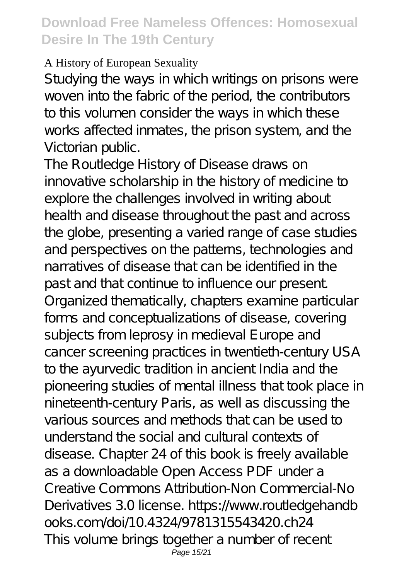#### A History of European Sexuality

Studying the ways in which writings on prisons were woven into the fabric of the period, the contributors to this volumen consider the ways in which these works affected inmates, the prison system, and the Victorian public.

The Routledge History of Disease draws on innovative scholarship in the history of medicine to explore the challenges involved in writing about health and disease throughout the past and across the globe, presenting a varied range of case studies and perspectives on the patterns, technologies and narratives of disease that can be identified in the past and that continue to influence our present. Organized thematically, chapters examine particular forms and conceptualizations of disease, covering subjects from leprosy in medieval Europe and cancer screening practices in twentieth-century USA to the ayurvedic tradition in ancient India and the pioneering studies of mental illness that took place in nineteenth-century Paris, as well as discussing the various sources and methods that can be used to understand the social and cultural contexts of disease. Chapter 24 of this book is freely available as a downloadable Open Access PDF under a Creative Commons Attribution-Non Commercial-No Derivatives 3.0 license. https://www.routledgehandb ooks.com/doi/10.4324/9781315543420.ch24 This volume brings together a number of recent Page 15/21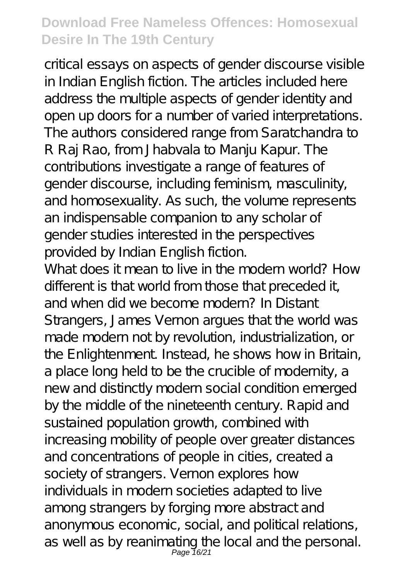critical essays on aspects of gender discourse visible in Indian English fiction. The articles included here address the multiple aspects of gender identity and open up doors for a number of varied interpretations. The authors considered range from Saratchandra to R Raj Rao, from Jhabvala to Manju Kapur. The contributions investigate a range of features of gender discourse, including feminism, masculinity, and homosexuality. As such, the volume represents an indispensable companion to any scholar of gender studies interested in the perspectives provided by Indian English fiction.

What does it mean to live in the modern world? How different is that world from those that preceded it, and when did we become modern? In Distant Strangers, James Vernon argues that the world was made modern not by revolution, industrialization, or the Enlightenment. Instead, he shows how in Britain, a place long held to be the crucible of modernity, a new and distinctly modern social condition emerged by the middle of the nineteenth century. Rapid and sustained population growth, combined with increasing mobility of people over greater distances and concentrations of people in cities, created a society of strangers. Vernon explores how individuals in modern societies adapted to live among strangers by forging more abstract and anonymous economic, social, and political relations, as well as by reanimating the local and the personal.<br>Page 16/21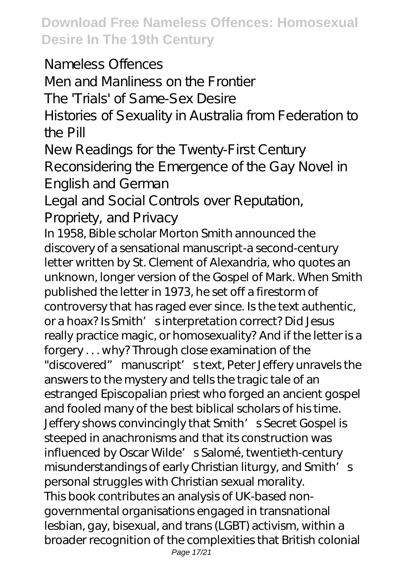Nameless Offences Men and Manliness on the Frontier The 'Trials' of Same-Sex Desire Histories of Sexuality in Australia from Federation to the Pill New Readings for the Twenty-First Century

Reconsidering the Emergence of the Gay Novel in English and German

Legal and Social Controls over Reputation,

Propriety, and Privacy

In 1958, Bible scholar Morton Smith announced the discovery of a sensational manuscript-a second-century letter written by St. Clement of Alexandria, who quotes an unknown, longer version of the Gospel of Mark. When Smith published the letter in 1973, he set off a firestorm of controversy that has raged ever since. Is the text authentic, or a hoax? Is Smith' sinterpretation correct? Did Jesus really practice magic, or homosexuality? And if the letter is a forgery . . . why? Through close examination of the "discovered" manuscript' s text, Peter Jeffery unravels the answers to the mystery and tells the tragic tale of an estranged Episcopalian priest who forged an ancient gospel and fooled many of the best biblical scholars of his time. Jeffery shows convincingly that Smith' s Secret Gospel is steeped in anachronisms and that its construction was influenced by Oscar Wilde' s Salomé, twentieth-century misunderstandings of early Christian liturgy, and Smith's personal struggles with Christian sexual morality. This book contributes an analysis of UK-based nongovernmental organisations engaged in transnational lesbian, gay, bisexual, and trans (LGBT) activism, within a broader recognition of the complexities that British colonial Page 17/21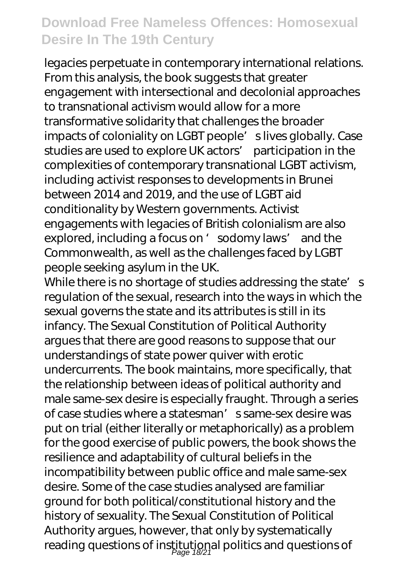legacies perpetuate in contemporary international relations. From this analysis, the book suggests that greater engagement with intersectional and decolonial approaches to transnational activism would allow for a more transformative solidarity that challenges the broader impacts of coloniality on LGBT people' slives globally. Case studies are used to explore UK actors' participation in the complexities of contemporary transnational LGBT activism, including activist responses to developments in Brunei between 2014 and 2019, and the use of LGBT aid conditionality by Western governments. Activist engagements with legacies of British colonialism are also explored, including a focus on 'sodomy laws' and the Commonwealth, as well as the challenges faced by LGBT people seeking asylum in the UK.

While there is no shortage of studies addressing the state's regulation of the sexual, research into the ways in which the sexual governs the state and its attributes is still in its infancy. The Sexual Constitution of Political Authority argues that there are good reasons to suppose that our understandings of state power quiver with erotic undercurrents. The book maintains, more specifically, that the relationship between ideas of political authority and male same-sex desire is especially fraught. Through a series of case studies where a statesman's same-sex desire was put on trial (either literally or metaphorically) as a problem for the good exercise of public powers, the book shows the resilience and adaptability of cultural beliefs in the incompatibility between public office and male same-sex desire. Some of the case studies analysed are familiar ground for both political/constitutional history and the history of sexuality. The Sexual Constitution of Political Authority argues, however, that only by systematically reading questions of institutional politics and questions of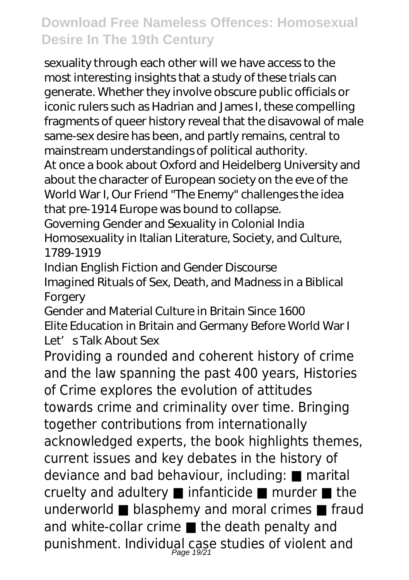sexuality through each other will we have access to the most interesting insights that a study of these trials can generate. Whether they involve obscure public officials or iconic rulers such as Hadrian and James I, these compelling fragments of queer history reveal that the disavowal of male same-sex desire has been, and partly remains, central to mainstream understandings of political authority.

At once a book about Oxford and Heidelberg University and about the character of European society on the eve of the World War I, Our Friend "The Enemy" challenges the idea that pre-1914 Europe was bound to collapse.

Governing Gender and Sexuality in Colonial India Homosexuality in Italian Literature, Society, and Culture, 1789-1919

Indian English Fiction and Gender Discourse Imagined Rituals of Sex, Death, and Madness in a Biblical **Forgery** 

Gender and Material Culture in Britain Since 1600 Elite Education in Britain and Germany Before World War I Let's Talk About Sex

Providing a rounded and coherent history of crime and the law spanning the past 400 years, Histories of Crime explores the evolution of attitudes towards crime and criminality over time. Bringing together contributions from internationally acknowledged experts, the book highlights themes, current issues and key debates in the history of deviance and bad behaviour, including: ■ marital cruelty and adultery ■ infanticide ■ murder ■ the underworld ■ blasphemy and moral crimes ■ fraud and white-collar crime ■ the death penalty and punishment. Individual case studies of violent and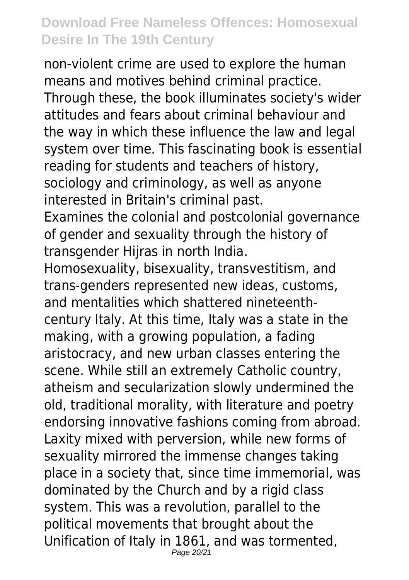non-violent crime are used to explore the human means and motives behind criminal practice. Through these, the book illuminates society's wider attitudes and fears about criminal behaviour and the way in which these influence the law and legal system over time. This fascinating book is essential reading for students and teachers of history, sociology and criminology, as well as anyone interested in Britain's criminal past.

Examines the colonial and postcolonial governance of gender and sexuality through the history of transgender Hijras in north India.

Homosexuality, bisexuality, transvestitism, and trans-genders represented new ideas, customs, and mentalities which shattered nineteenthcentury Italy. At this time, Italy was a state in the making, with a growing population, a fading aristocracy, and new urban classes entering the scene. While still an extremely Catholic country, atheism and secularization slowly undermined the old, traditional morality, with literature and poetry endorsing innovative fashions coming from abroad. Laxity mixed with perversion, while new forms of sexuality mirrored the immense changes taking place in a society that, since time immemorial, was dominated by the Church and by a rigid class system. This was a revolution, parallel to the political movements that brought about the Unification of Italy in 1861, and was tormented, Page 20/21